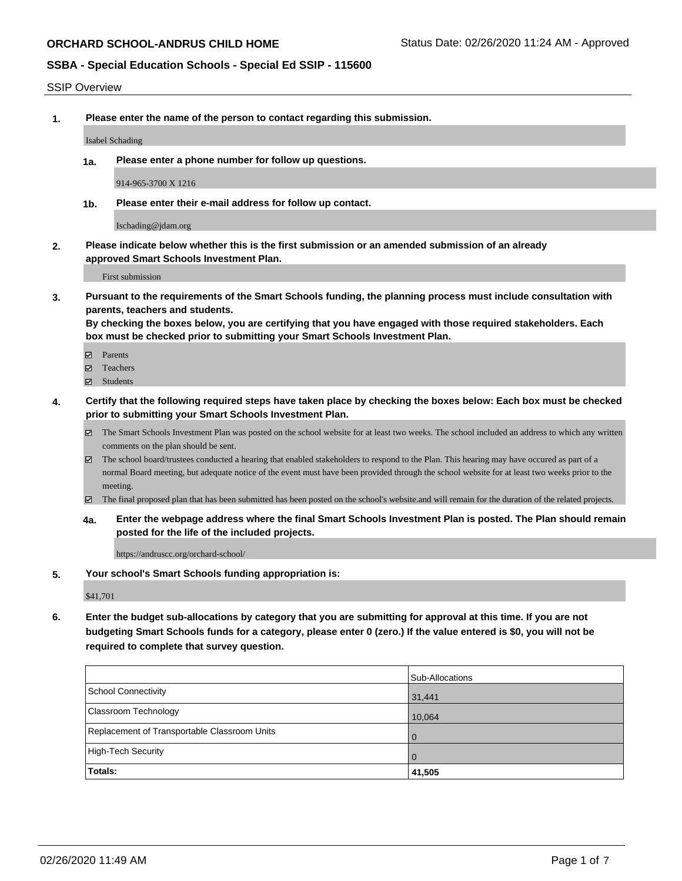#### SSIP Overview

**1. Please enter the name of the person to contact regarding this submission.**

#### Isabel Schading

**1a. Please enter a phone number for follow up questions.**

914-965-3700 X 1216

**1b. Please enter their e-mail address for follow up contact.**

Ischading@jdam.org

**2. Please indicate below whether this is the first submission or an amended submission of an already approved Smart Schools Investment Plan.**

First submission

**3. Pursuant to the requirements of the Smart Schools funding, the planning process must include consultation with parents, teachers and students.**

**By checking the boxes below, you are certifying that you have engaged with those required stakeholders. Each box must be checked prior to submitting your Smart Schools Investment Plan.**

- Parents
- Teachers
- Students
- **4. Certify that the following required steps have taken place by checking the boxes below: Each box must be checked prior to submitting your Smart Schools Investment Plan.**
	- The Smart Schools Investment Plan was posted on the school website for at least two weeks. The school included an address to which any written comments on the plan should be sent.
	- The school board/trustees conducted a hearing that enabled stakeholders to respond to the Plan. This hearing may have occured as part of a normal Board meeting, but adequate notice of the event must have been provided through the school website for at least two weeks prior to the meeting.
	- The final proposed plan that has been submitted has been posted on the school's website.and will remain for the duration of the related projects.
	- **4a. Enter the webpage address where the final Smart Schools Investment Plan is posted. The Plan should remain posted for the life of the included projects.**

https://andruscc.org/orchard-school/

**5. Your school's Smart Schools funding appropriation is:**

\$41,701

**6. Enter the budget sub-allocations by category that you are submitting for approval at this time. If you are not budgeting Smart Schools funds for a category, please enter 0 (zero.) If the value entered is \$0, you will not be required to complete that survey question.**

|                                              | Sub-Allocations |
|----------------------------------------------|-----------------|
| School Connectivity                          | 31,441          |
| Classroom Technology                         | 10,064          |
| Replacement of Transportable Classroom Units | $\overline{0}$  |
| High-Tech Security                           | $\overline{0}$  |
| Totals:                                      | 41,505          |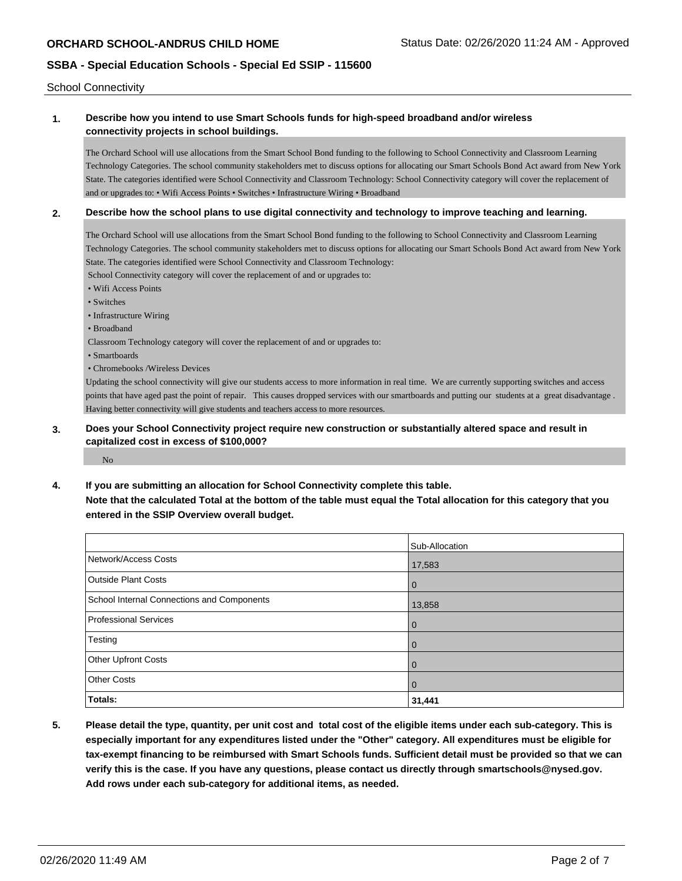School Connectivity

## **1. Describe how you intend to use Smart Schools funds for high-speed broadband and/or wireless connectivity projects in school buildings.**

The Orchard School will use allocations from the Smart School Bond funding to the following to School Connectivity and Classroom Learning Technology Categories. The school community stakeholders met to discuss options for allocating our Smart Schools Bond Act award from New York State. The categories identified were School Connectivity and Classroom Technology: School Connectivity category will cover the replacement of and or upgrades to: • Wifi Access Points • Switches • Infrastructure Wiring • Broadband

### **2. Describe how the school plans to use digital connectivity and technology to improve teaching and learning.**

The Orchard School will use allocations from the Smart School Bond funding to the following to School Connectivity and Classroom Learning Technology Categories. The school community stakeholders met to discuss options for allocating our Smart Schools Bond Act award from New York State. The categories identified were School Connectivity and Classroom Technology:

School Connectivity category will cover the replacement of and or upgrades to:

- Wifi Access Points
- Switches
- Infrastructure Wiring
- Broadband
- Classroom Technology category will cover the replacement of and or upgrades to:
- Smartboards
- Chromebooks /Wireless Devices

Updating the school connectivity will give our students access to more information in real time. We are currently supporting switches and access points that have aged past the point of repair. This causes dropped services with our smartboards and putting our students at a great disadvantage . Having better connectivity will give students and teachers access to more resources.

### **3. Does your School Connectivity project require new construction or substantially altered space and result in capitalized cost in excess of \$100,000?**

No

### **4. If you are submitting an allocation for School Connectivity complete this table.**

**Note that the calculated Total at the bottom of the table must equal the Total allocation for this category that you entered in the SSIP Overview overall budget.** 

|                                            | Sub-Allocation |
|--------------------------------------------|----------------|
| Network/Access Costs                       | 17,583         |
| <b>Outside Plant Costs</b>                 | $\Omega$       |
| School Internal Connections and Components | 13,858         |
| <b>Professional Services</b>               | l O            |
| Testing                                    |                |
| <b>Other Upfront Costs</b>                 | $\Omega$       |
| <b>Other Costs</b>                         | l O            |
| Totals:                                    | 31,441         |

**5. Please detail the type, quantity, per unit cost and total cost of the eligible items under each sub-category. This is especially important for any expenditures listed under the "Other" category. All expenditures must be eligible for tax-exempt financing to be reimbursed with Smart Schools funds. Sufficient detail must be provided so that we can verify this is the case. If you have any questions, please contact us directly through smartschools@nysed.gov. Add rows under each sub-category for additional items, as needed.**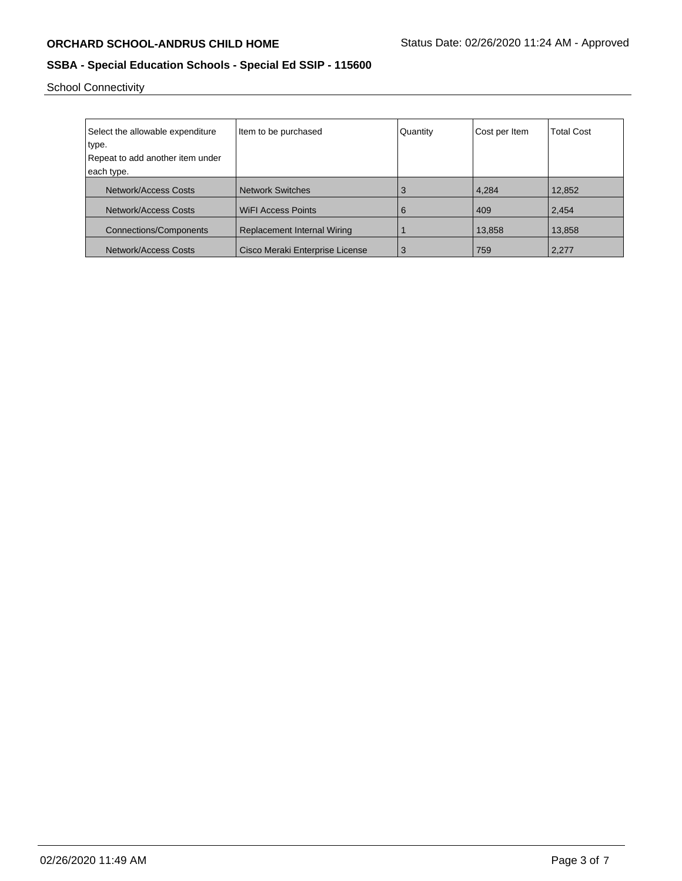School Connectivity

| Select the allowable expenditure | Item to be purchased            | Quantity | Cost per Item | <b>Total Cost</b> |
|----------------------------------|---------------------------------|----------|---------------|-------------------|
| type.                            |                                 |          |               |                   |
| Repeat to add another item under |                                 |          |               |                   |
| each type.                       |                                 |          |               |                   |
| Network/Access Costs             | <b>Network Switches</b>         | 3        | 4,284         | 12,852            |
| Network/Access Costs             | <b>WiFI Access Points</b>       | 6        | 409           | 2,454             |
| <b>Connections/Components</b>    | Replacement Internal Wiring     |          | 13,858        | 13,858            |
| Network/Access Costs             | Cisco Meraki Enterprise License | 3        | 759           | 2,277             |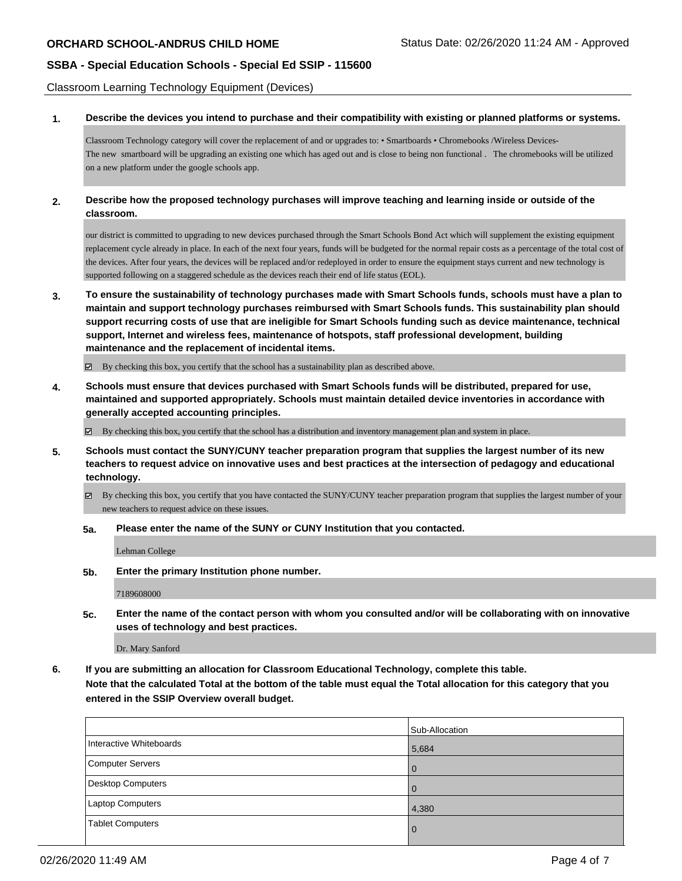Classroom Learning Technology Equipment (Devices)

**1. Describe the devices you intend to purchase and their compatibility with existing or planned platforms or systems.**

Classroom Technology category will cover the replacement of and or upgrades to: • Smartboards • Chromebooks /Wireless Devices-The new smartboard will be upgrading an existing one which has aged out and is close to being non functional . The chromebooks will be utilized on a new platform under the google schools app.

**2. Describe how the proposed technology purchases will improve teaching and learning inside or outside of the classroom.**

our district is committed to upgrading to new devices purchased through the Smart Schools Bond Act which will supplement the existing equipment replacement cycle already in place. In each of the next four years, funds will be budgeted for the normal repair costs as a percentage of the total cost of the devices. After four years, the devices will be replaced and/or redeployed in order to ensure the equipment stays current and new technology is supported following on a staggered schedule as the devices reach their end of life status (EOL).

**3. To ensure the sustainability of technology purchases made with Smart Schools funds, schools must have a plan to maintain and support technology purchases reimbursed with Smart Schools funds. This sustainability plan should support recurring costs of use that are ineligible for Smart Schools funding such as device maintenance, technical support, Internet and wireless fees, maintenance of hotspots, staff professional development, building maintenance and the replacement of incidental items.**

By checking this box, you certify that the school has a sustainability plan as described above.

**4. Schools must ensure that devices purchased with Smart Schools funds will be distributed, prepared for use, maintained and supported appropriately. Schools must maintain detailed device inventories in accordance with generally accepted accounting principles.**

By checking this box, you certify that the school has a distribution and inventory management plan and system in place.

- **5. Schools must contact the SUNY/CUNY teacher preparation program that supplies the largest number of its new teachers to request advice on innovative uses and best practices at the intersection of pedagogy and educational technology.**
	- By checking this box, you certify that you have contacted the SUNY/CUNY teacher preparation program that supplies the largest number of your new teachers to request advice on these issues.
	- **5a. Please enter the name of the SUNY or CUNY Institution that you contacted.**

Lehman College

**5b. Enter the primary Institution phone number.**

7189608000

**5c. Enter the name of the contact person with whom you consulted and/or will be collaborating with on innovative uses of technology and best practices.**

Dr. Mary Sanford

**6. If you are submitting an allocation for Classroom Educational Technology, complete this table. Note that the calculated Total at the bottom of the table must equal the Total allocation for this category that you entered in the SSIP Overview overall budget.**

|                          | Sub-Allocation |
|--------------------------|----------------|
| Interactive Whiteboards  | 5,684          |
| Computer Servers         | $\Omega$       |
| <b>Desktop Computers</b> | $\Omega$       |
| Laptop Computers         | 4,380          |
| <b>Tablet Computers</b>  | $\Omega$       |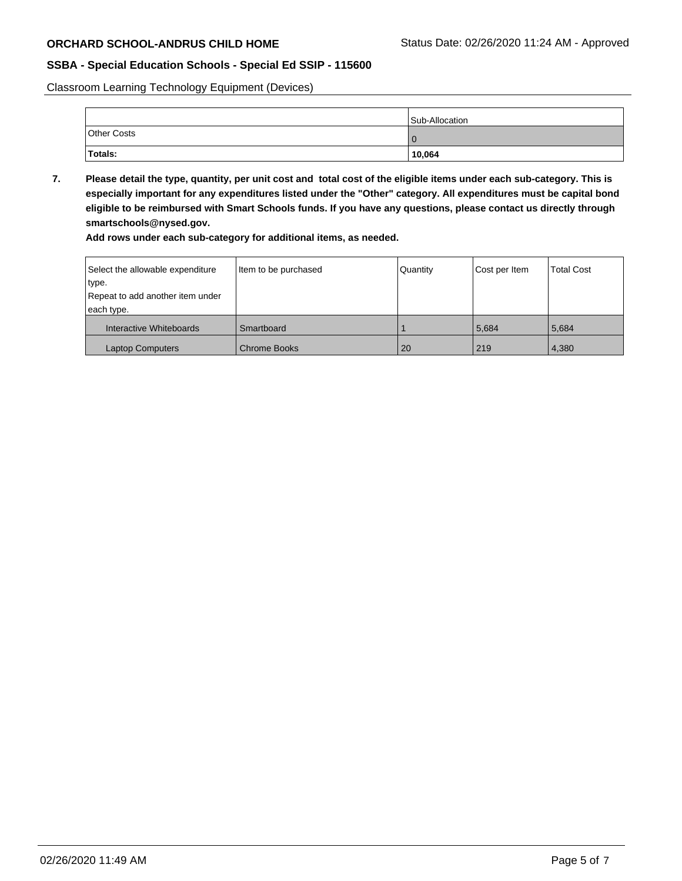Classroom Learning Technology Equipment (Devices)

|                    | Sub-Allocation |
|--------------------|----------------|
| <b>Other Costs</b> |                |
| Totals:            | 10,064         |

**7. Please detail the type, quantity, per unit cost and total cost of the eligible items under each sub-category. This is especially important for any expenditures listed under the "Other" category. All expenditures must be capital bond eligible to be reimbursed with Smart Schools funds. If you have any questions, please contact us directly through smartschools@nysed.gov.**

**Add rows under each sub-category for additional items, as needed.**

| Select the allowable expenditure | Item to be purchased | Quantity | Cost per Item | <b>Total Cost</b> |
|----------------------------------|----------------------|----------|---------------|-------------------|
| type.                            |                      |          |               |                   |
| Repeat to add another item under |                      |          |               |                   |
| each type.                       |                      |          |               |                   |
| Interactive Whiteboards          | Smartboard           |          | 5,684         | 5,684             |
| <b>Laptop Computers</b>          | <b>Chrome Books</b>  | 20       | 219           | 4,380             |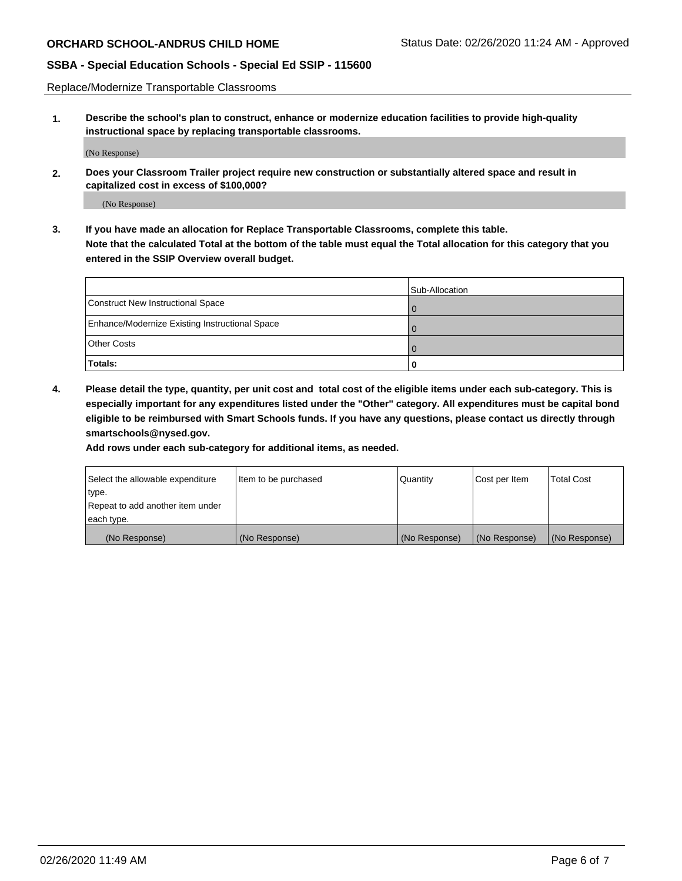Replace/Modernize Transportable Classrooms

**1. Describe the school's plan to construct, enhance or modernize education facilities to provide high-quality instructional space by replacing transportable classrooms.**

(No Response)

**2. Does your Classroom Trailer project require new construction or substantially altered space and result in capitalized cost in excess of \$100,000?**

(No Response)

**3. If you have made an allocation for Replace Transportable Classrooms, complete this table. Note that the calculated Total at the bottom of the table must equal the Total allocation for this category that you entered in the SSIP Overview overall budget.**

|                                                | Sub-Allocation |
|------------------------------------------------|----------------|
| Construct New Instructional Space              |                |
| Enhance/Modernize Existing Instructional Space |                |
| <b>Other Costs</b>                             |                |
| Totals:                                        | O              |

**4. Please detail the type, quantity, per unit cost and total cost of the eligible items under each sub-category. This is especially important for any expenditures listed under the "Other" category. All expenditures must be capital bond eligible to be reimbursed with Smart Schools funds. If you have any questions, please contact us directly through smartschools@nysed.gov.**

**Add rows under each sub-category for additional items, as needed.**

| Select the allowable expenditure | Item to be purchased | Quantity      | Cost per Item | <b>Total Cost</b> |
|----------------------------------|----------------------|---------------|---------------|-------------------|
| 'type.                           |                      |               |               |                   |
| Repeat to add another item under |                      |               |               |                   |
| each type.                       |                      |               |               |                   |
| (No Response)                    | (No Response)        | (No Response) | (No Response) | (No Response)     |